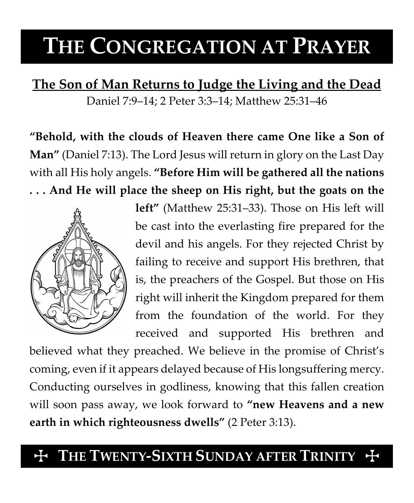# **THE CONGREGATION AT PRAYER**

**The Son of Man Returns to Judge the Living and the Dead** Daniel 7:9–14; 2 Peter 3:3–14; Matthew 25:31–46

**"Behold, with the clouds of Heaven there came One like a Son of Man"** (Daniel 7:13). The Lord Jesus will return in glory on the Last Day with all His holy angels. **"Before Him will be gathered all the nations . . . And He will place the sheep on His right, but the goats on the** 



**left"** (Matthew 25:31–33). Those on His left will be cast into the everlasting fire prepared for the devil and his angels. For they rejected Christ by failing to receive and support His brethren, that is, the preachers of the Gospel. But those on His right will inherit the Kingdom prepared for them from the foundation of the world. For they received and supported His brethren and

believed what they preached. We believe in the promise of Christ's coming, even if it appears delayed because of His longsuffering mercy. Conducting ourselves in godliness, knowing that this fallen creation will soon pass away, we look forward to **"new Heavens and a new earth in which righteousness dwells"** (2 Peter 3:13).

## THE TWENTY-SIXTH SUNDAY AFTER TRINITY  $+$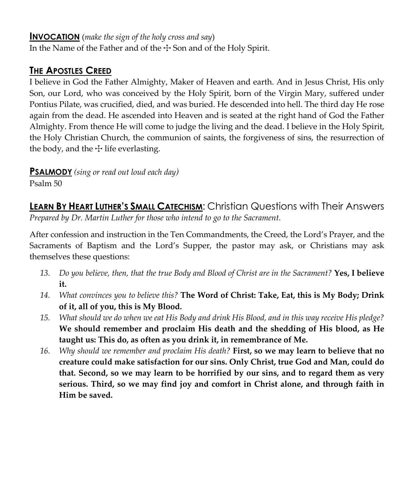#### **INVOCATION** (*make the sign of the holy cross and say*)

In the Name of the Father and of the  $\pm$  Son and of the Holy Spirit.

### **THE APOSTLES CREED**

I believe in God the Father Almighty, Maker of Heaven and earth. And in Jesus Christ, His only Son, our Lord, who was conceived by the Holy Spirit, born of the Virgin Mary, suffered under Pontius Pilate, was crucified, died, and was buried. He descended into hell. The third day He rose again from the dead. He ascended into Heaven and is seated at the right hand of God the Father Almighty. From thence He will come to judge the living and the dead. I believe in the Holy Spirit, the Holy Christian Church, the communion of saints, the forgiveness of sins, the resurrection of the body, and the  $\pm$  life everlasting.

**PSALMODY** *(sing or read out loud each day)*

Psalm 50

**LEARN BY HEART LUTHER'S SMALL CATECHISM:** Christian Questions with Their Answers *Prepared by Dr. Martin Luther for those who intend to go to the Sacrament.*

After confession and instruction in the Ten Commandments, the Creed, the Lord's Prayer, and the Sacraments of Baptism and the Lord's Supper, the pastor may ask, or Christians may ask themselves these questions:

- *13. Do you believe, then, that the true Body and Blood of Christ are in the Sacrament?* **Yes, I believe it.**
- *14. What convinces you to believe this?* **The Word of Christ: Take, Eat, this is My Body; Drink of it, all of you, this is My Blood.**
- *15. What should we do when we eat His Body and drink His Blood, and in this way receive His pledge?*  **We should remember and proclaim His death and the shedding of His blood, as He taught us: This do, as often as you drink it, in remembrance of Me.**
- *16. Why should we remember and proclaim His death?* **First, so we may learn to believe that no creature could make satisfaction for our sins. Only Christ, true God and Man, could do that. Second, so we may learn to be horrified by our sins, and to regard them as very serious. Third, so we may find joy and comfort in Christ alone, and through faith in Him be saved.**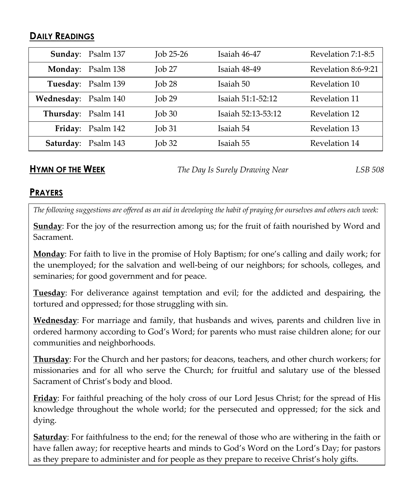#### **DAILY READINGS**

|                      | Sunday: Psalm 137   | Job $25-26$             | Isaiah 46-47       | Revelation 7:1-8:5  |
|----------------------|---------------------|-------------------------|--------------------|---------------------|
|                      | Monday: Psalm 138   | $I$ <sub>O</sub> $b$ 27 | Isaiah 48-49       | Revelation 8:6-9:21 |
|                      | Tuesday: Psalm 139  | $\rm{Job}$ 28           | Isaiah 50          | Revelation 10       |
| Wednesday: Psalm 140 |                     | $J$ ob 29               | Isaiah 51:1-52:12  | Revelation 11       |
| Thursday: Psalm 141  |                     | $\rm{Job}30$            | Isaiah 52:13-53:12 | Revelation 12       |
|                      | Friday: Psalm 142   | $\rm{Job}31$            | Isaiah 54          | Revelation 13       |
|                      | Saturday: Psalm 143 | $\rm{Job}32$            | Isaiah 55          | Revelation 14       |

**HYMN OF THE WEEK** *The Day Is Surely Drawing Near LSB 508*

#### **PRAYERS**

*The following suggestions are offered as an aid in developing the habit of praying for ourselves and others each week:*

**Sunday**: For the joy of the resurrection among us; for the fruit of faith nourished by Word and Sacrament.

**Monday**: For faith to live in the promise of Holy Baptism; for one's calling and daily work; for the unemployed; for the salvation and well-being of our neighbors; for schools, colleges, and seminaries; for good government and for peace.

**Tuesday**: For deliverance against temptation and evil; for the addicted and despairing, the tortured and oppressed; for those struggling with sin.

**Wednesday**: For marriage and family, that husbands and wives, parents and children live in ordered harmony according to God's Word; for parents who must raise children alone; for our communities and neighborhoods.

**Thursday**: For the Church and her pastors; for deacons, teachers, and other church workers; for missionaries and for all who serve the Church; for fruitful and salutary use of the blessed Sacrament of Christ's body and blood.

**Friday**: For faithful preaching of the holy cross of our Lord Jesus Christ; for the spread of His knowledge throughout the whole world; for the persecuted and oppressed; for the sick and dying.

**Saturday**: For faithfulness to the end; for the renewal of those who are withering in the faith or have fallen away; for receptive hearts and minds to God's Word on the Lord's Day; for pastors as they prepare to administer and for people as they prepare to receive Christ's holy gifts.